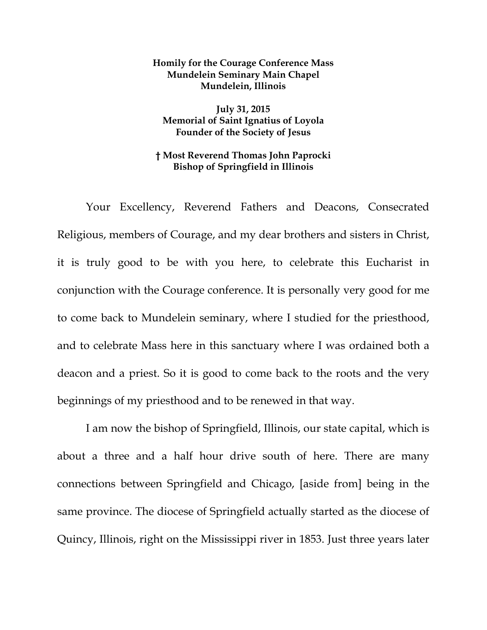## **Homily for the Courage Conference Mass Mundelein Seminary Main Chapel Mundelein, Illinois**

**July 31, 2015 Memorial of Saint Ignatius of Loyola Founder of the Society of Jesus** 

## **† Most Reverend Thomas John Paprocki Bishop of Springfield in Illinois**

Your Excellency, Reverend Fathers and Deacons, Consecrated Religious, members of Courage, and my dear brothers and sisters in Christ, it is truly good to be with you here, to celebrate this Eucharist in conjunction with the Courage conference. It is personally very good for me to come back to Mundelein seminary, where I studied for the priesthood, and to celebrate Mass here in this sanctuary where I was ordained both a deacon and a priest. So it is good to come back to the roots and the very beginnings of my priesthood and to be renewed in that way.

I am now the bishop of Springfield, Illinois, our state capital, which is about a three and a half hour drive south of here. There are many connections between Springfield and Chicago, [aside from] being in the same province. The diocese of Springfield actually started as the diocese of Quincy, Illinois, right on the Mississippi river in 1853. Just three years later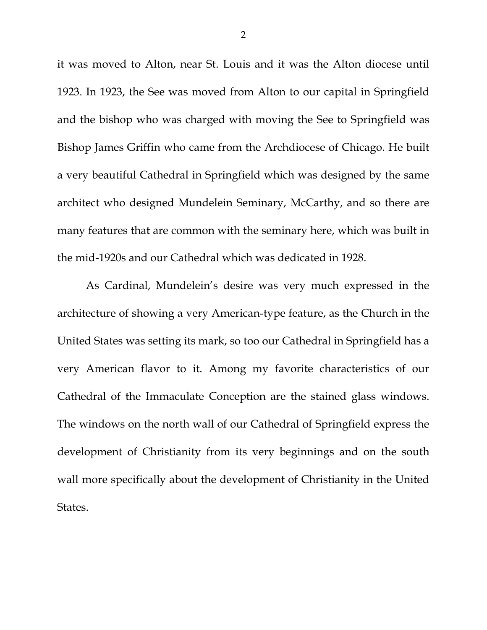it was moved to Alton, near St. Louis and it was the Alton diocese until 1923. In 1923, the See was moved from Alton to our capital in Springfield and the bishop who was charged with moving the See to Springfield was Bishop James Griffin who came from the Archdiocese of Chicago. He built a very beautiful Cathedral in Springfield which was designed by the same architect who designed Mundelein Seminary, McCarthy, and so there are many features that are common with the seminary here, which was built in the mid-1920s and our Cathedral which was dedicated in 1928.

As Cardinal, Mundelein's desire was very much expressed in the architecture of showing a very American-type feature, as the Church in the United States was setting its mark, so too our Cathedral in Springfield has a very American flavor to it. Among my favorite characteristics of our Cathedral of the Immaculate Conception are the stained glass windows. The windows on the north wall of our Cathedral of Springfield express the development of Christianity from its very beginnings and on the south wall more specifically about the development of Christianity in the United States.

2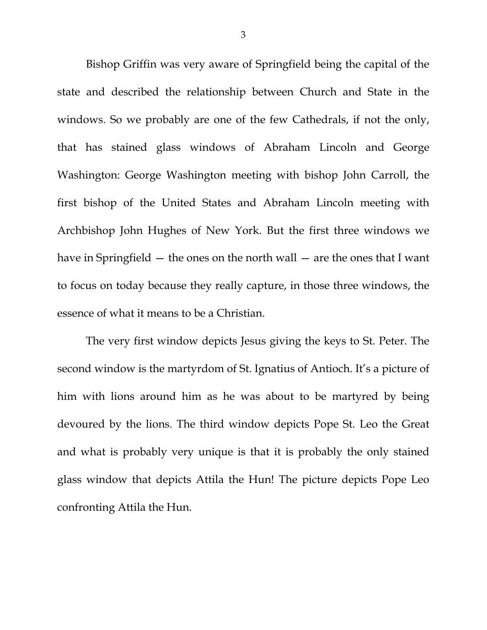Bishop Griffin was very aware of Springfield being the capital of the state and described the relationship between Church and State in the windows. So we probably are one of the few Cathedrals, if not the only, that has stained glass windows of Abraham Lincoln and George Washington: George Washington meeting with bishop John Carroll, the first bishop of the United States and Abraham Lincoln meeting with Archbishop John Hughes of New York. But the first three windows we have in Springfield — the ones on the north wall — are the ones that I want to focus on today because they really capture, in those three windows, the essence of what it means to be a Christian.

The very first window depicts Jesus giving the keys to St. Peter. The second window is the martyrdom of St. Ignatius of Antioch. It's a picture of him with lions around him as he was about to be martyred by being devoured by the lions. The third window depicts Pope St. Leo the Great and what is probably very unique is that it is probably the only stained glass window that depicts Attila the Hun! The picture depicts Pope Leo confronting Attila the Hun.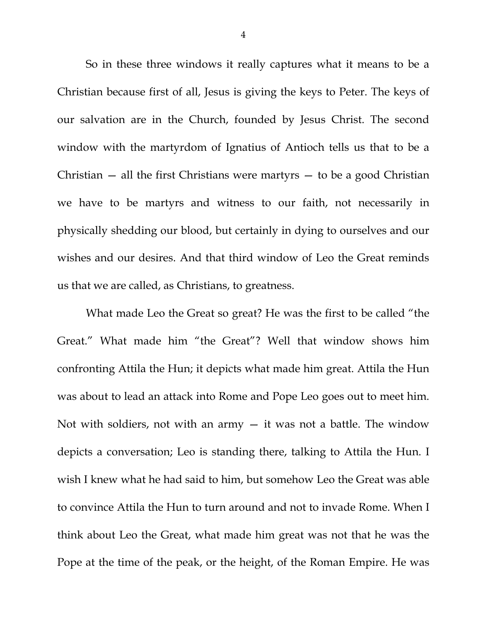So in these three windows it really captures what it means to be a Christian because first of all, Jesus is giving the keys to Peter. The keys of our salvation are in the Church, founded by Jesus Christ. The second window with the martyrdom of Ignatius of Antioch tells us that to be a Christian  $-$  all the first Christians were martyrs  $-$  to be a good Christian we have to be martyrs and witness to our faith, not necessarily in physically shedding our blood, but certainly in dying to ourselves and our wishes and our desires. And that third window of Leo the Great reminds us that we are called, as Christians, to greatness.

What made Leo the Great so great? He was the first to be called "the Great." What made him "the Great"? Well that window shows him confronting Attila the Hun; it depicts what made him great. Attila the Hun was about to lead an attack into Rome and Pope Leo goes out to meet him. Not with soldiers, not with an army — it was not a battle. The window depicts a conversation; Leo is standing there, talking to Attila the Hun. I wish I knew what he had said to him, but somehow Leo the Great was able to convince Attila the Hun to turn around and not to invade Rome. When I think about Leo the Great, what made him great was not that he was the Pope at the time of the peak, or the height, of the Roman Empire. He was

4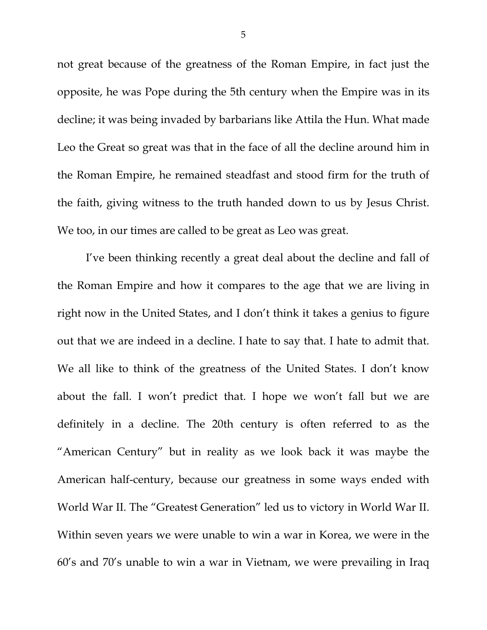not great because of the greatness of the Roman Empire, in fact just the opposite, he was Pope during the 5th century when the Empire was in its decline; it was being invaded by barbarians like Attila the Hun. What made Leo the Great so great was that in the face of all the decline around him in the Roman Empire, he remained steadfast and stood firm for the truth of the faith, giving witness to the truth handed down to us by Jesus Christ. We too, in our times are called to be great as Leo was great.

I've been thinking recently a great deal about the decline and fall of the Roman Empire and how it compares to the age that we are living in right now in the United States, and I don't think it takes a genius to figure out that we are indeed in a decline. I hate to say that. I hate to admit that. We all like to think of the greatness of the United States. I don't know about the fall. I won't predict that. I hope we won't fall but we are definitely in a decline. The 20th century is often referred to as the "American Century" but in reality as we look back it was maybe the American half-century, because our greatness in some ways ended with World War II. The "Greatest Generation" led us to victory in World War II. Within seven years we were unable to win a war in Korea, we were in the 60's and 70's unable to win a war in Vietnam, we were prevailing in Iraq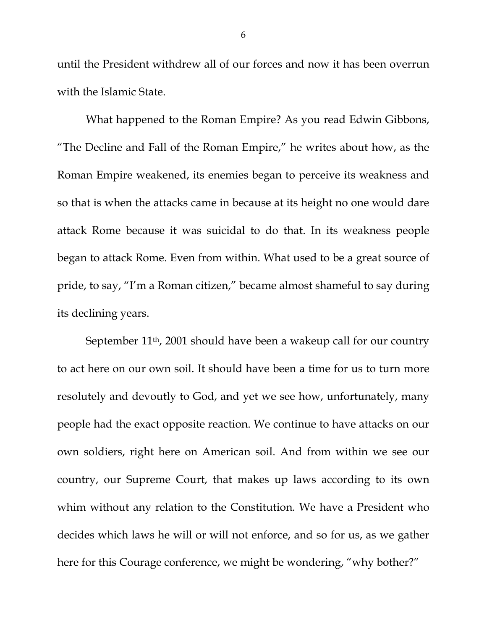until the President withdrew all of our forces and now it has been overrun with the Islamic State.

What happened to the Roman Empire? As you read Edwin Gibbons, "The Decline and Fall of the Roman Empire," he writes about how, as the Roman Empire weakened, its enemies began to perceive its weakness and so that is when the attacks came in because at its height no one would dare attack Rome because it was suicidal to do that. In its weakness people began to attack Rome. Even from within. What used to be a great source of pride, to say, "I'm a Roman citizen," became almost shameful to say during its declining years.

September 11<sup>th</sup>, 2001 should have been a wakeup call for our country to act here on our own soil. It should have been a time for us to turn more resolutely and devoutly to God, and yet we see how, unfortunately, many people had the exact opposite reaction. We continue to have attacks on our own soldiers, right here on American soil. And from within we see our country, our Supreme Court, that makes up laws according to its own whim without any relation to the Constitution. We have a President who decides which laws he will or will not enforce, and so for us, as we gather here for this Courage conference, we might be wondering, "why bother?"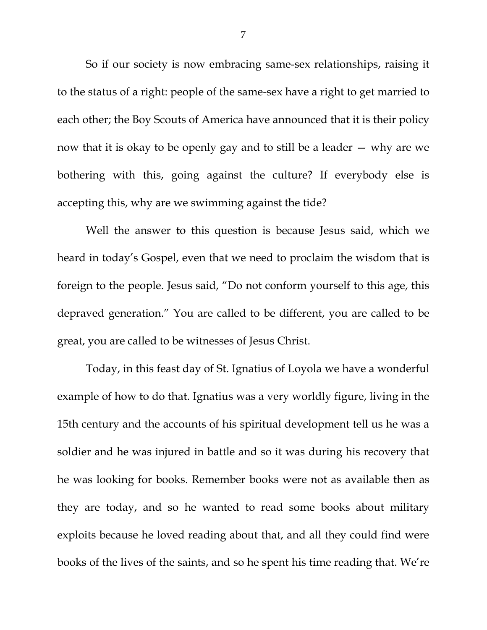So if our society is now embracing same-sex relationships, raising it to the status of a right: people of the same-sex have a right to get married to each other; the Boy Scouts of America have announced that it is their policy now that it is okay to be openly gay and to still be a leader — why are we bothering with this, going against the culture? If everybody else is accepting this, why are we swimming against the tide?

Well the answer to this question is because Jesus said, which we heard in today's Gospel, even that we need to proclaim the wisdom that is foreign to the people. Jesus said, "Do not conform yourself to this age, this depraved generation." You are called to be different, you are called to be great, you are called to be witnesses of Jesus Christ.

Today, in this feast day of St. Ignatius of Loyola we have a wonderful example of how to do that. Ignatius was a very worldly figure, living in the 15th century and the accounts of his spiritual development tell us he was a soldier and he was injured in battle and so it was during his recovery that he was looking for books. Remember books were not as available then as they are today, and so he wanted to read some books about military exploits because he loved reading about that, and all they could find were books of the lives of the saints, and so he spent his time reading that. We're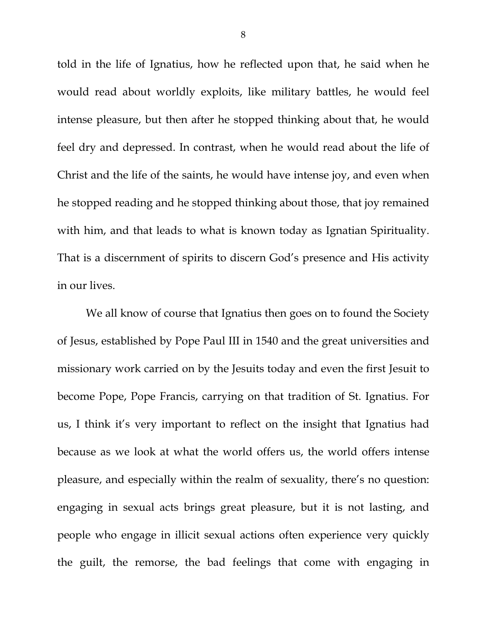told in the life of Ignatius, how he reflected upon that, he said when he would read about worldly exploits, like military battles, he would feel intense pleasure, but then after he stopped thinking about that, he would feel dry and depressed. In contrast, when he would read about the life of Christ and the life of the saints, he would have intense joy, and even when he stopped reading and he stopped thinking about those, that joy remained with him, and that leads to what is known today as Ignatian Spirituality. That is a discernment of spirits to discern God's presence and His activity in our lives.

We all know of course that Ignatius then goes on to found the Society of Jesus, established by Pope Paul III in 1540 and the great universities and missionary work carried on by the Jesuits today and even the first Jesuit to become Pope, Pope Francis, carrying on that tradition of St. Ignatius. For us, I think it's very important to reflect on the insight that Ignatius had because as we look at what the world offers us, the world offers intense pleasure, and especially within the realm of sexuality, there's no question: engaging in sexual acts brings great pleasure, but it is not lasting, and people who engage in illicit sexual actions often experience very quickly the guilt, the remorse, the bad feelings that come with engaging in